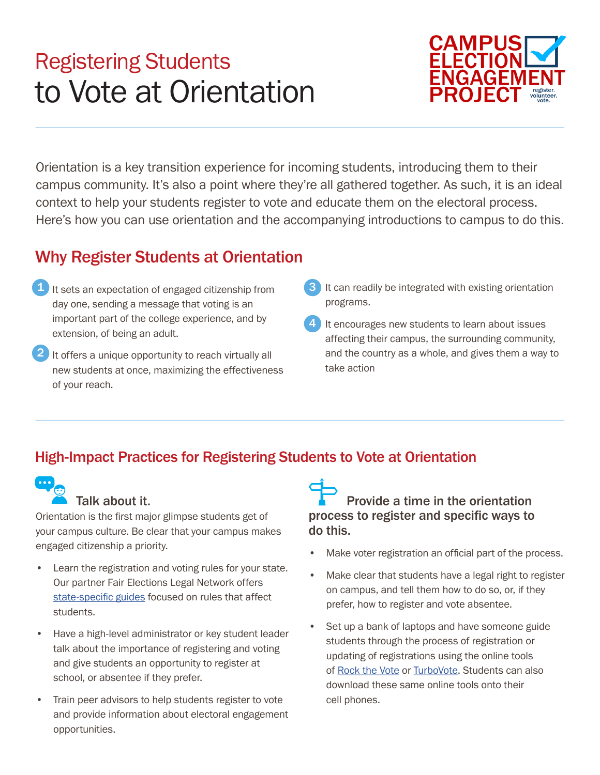# Registering Students to Vote at Orientation



Orientation is a key transition experience for incoming students, introducing them to their campus community. It's also a point where they're all gathered together. As such, it is an ideal context to help your students register to vote and educate them on the electoral process. Here's how you can use orientation and the accompanying introductions to campus to do this.

### Why Register Students at Orientation

- 1 It sets an expectation of engaged citizenship from **3** day one, sending a message that voting is an important part of the college experience, and by extension, of being an adult.
- $2$  It offers a unique opportunity to reach virtually all new students at once, maximizing the effectiveness of your reach.
- It can readily be integrated with existing orientation programs.
- It encourages new students to learn about issues affecting their campus, the surrounding community, and the country as a whole, and gives them a way to take action 4

### High-Impact Practices for Registering Students to Vote at Orientation



#### Talk about it.

Orientation is the frst major glimpse students get of your campus culture. Be clear that your campus makes engaged citizenship a priority.

- Learn the registration and voting rules for your state. Our partner Fair Elections Legal Network offers state-specific guides focused on rules that affect students.
- Have a high-level administrator or key student leader talk about the importance of registering and voting and give students an opportunity to register at school, or absentee if they prefer.
- Train peer advisors to help students register to vote and provide information about electoral engagement opportunities.

Provide a time in the orientation process to register and specific ways to do this.

- Make voter registration an official part of the process.
- Make clear that students have a legal right to register on campus, and tell them how to do so, or, if they prefer, how to register and vote absentee.
- Set up a bank of laptops and have someone guide students through the process of registration or updating of registrations using the online tools of [Rock the Vote](http://www.rockthevote.com/partner/) or [TurboVote](https://turbovote.org/faq). Students can also download these same online tools onto their cell phones.